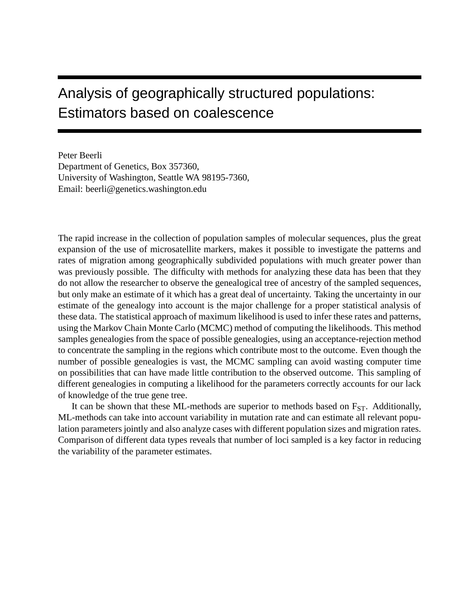# Analysis of geographically structured populations: Estimators based on coalescence

Peter Beerli Department of Genetics, Box 357360, University of Washington, Seattle WA 98195-7360, Email: beerli@genetics.washington.edu

The rapid increase in the collection of population samples of molecular sequences, plus the great expansion of the use of microsatellite markers, makes it possible to investigate the patterns and rates of migration among geographically subdivided populations with much greater power than was previously possible. The difficulty with methods for analyzing these data has been that they do not allow the researcher to observe the genealogical tree of ancestry of the sampled sequences, but only make an estimate of it which has a great deal of uncertainty. Taking the uncertainty in our estimate of the genealogy into account is the major challenge for a proper statistical analysis of these data. The statistical approach of maximum likelihood is used to infer these rates and patterns, using the Markov Chain Monte Carlo (MCMC) method of computing the likelihoods. This method samples genealogies from the space of possible genealogies, using an acceptance-rejection method to concentrate the sampling in the regions which contribute most to the outcome. Even though the number of possible genealogies is vast, the MCMC sampling can avoid wasting computer time on possibilities that can have made little contribution to the observed outcome. This sampling of different genealogies in computing a likelihood for the parameters correctly accounts for our lack of knowledge of the true gene tree.

It can be shown that these ML-methods are superior to methods based on  $F_{ST}$ . Additionally, ML-methods can take into account variability in mutation rate and can estimate all relevant population parameters jointly and also analyze cases with different population sizes and migration rates. Comparison of different data types reveals that number of loci sampled is a key factor in reducing the variability of the parameter estimates.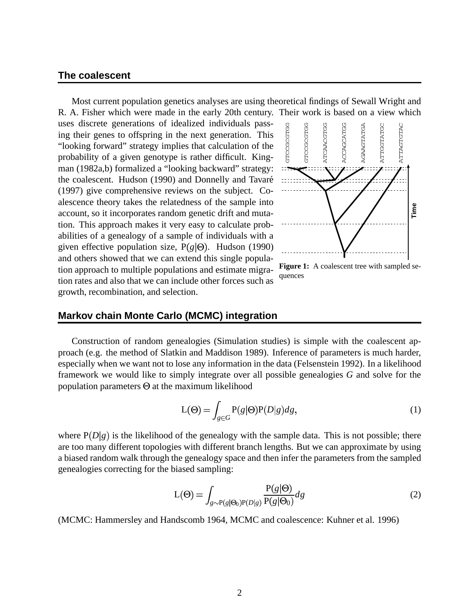#### **The coalescent**

Most current population genetics analyses are using theoretical findings of Sewall Wright and R. A. Fisher which were made in the early 20th century. Their work is based on a view which

uses discrete generations of idealized individuals passing their genes to offspring in the next generation. This "looking forward" strategy implies that calculation of the probability of a given genotype is rather difficult. Kingman (1982a,b) formalized a "looking backward" strategy: the coalescent. Hudson (1990) and Donnelly and Tavare´ (1997) give comprehensive reviews on the subject. Coalescence theory takes the relatedness of the sample into account, so it incorporates random genetic drift and mutation. This approach makes it very easy to calculate probabilities of a genealogy of a sample of individuals with a given effective population size,  $P(g|\Theta)$ . Hudson (1990) and others showed that we can extend this single population approach to multiple populations and estimate migration rates and also that we can include other forces such as growth, recombination, and selection.



**Figure 1:** A coalescent tree with sampled sequences

### **Markov chain Monte Carlo (MCMC) integration**

Construction of random genealogies (Simulation studies) is simple with the coalescent approach (e.g. the method of Slatkin and Maddison 1989). Inference of parameters is much harder, especially when we want not to lose any information in the data (Felsenstein 1992). In a likelihood framework we would like to simply integrate over all possible genealogies *G* and solve for the population parameters  $\Theta$  at the maximum likelihood

$$
L(\Theta) = \int_{g \in G} P(g|\Theta) P(D|g) dg,
$$
\n(1)

where  $P(D|g)$  is the likelihood of the genealogy with the sample data. This is not possible; there are too many different topologies with different branch lengths. But we can approximate by using a biased random walk through the genealogy space and then infer the parameters from the sampled genealogies correcting for the biased sampling:

$$
L(\Theta) = \int_{g \sim P(g|\Theta_0)P(D|g)} \frac{P(g|\Theta)}{P(g|\Theta_0)} dg
$$
 (2)

(MCMC: Hammersley and Handscomb 1964, MCMC and coalescence: Kuhner et al. 1996)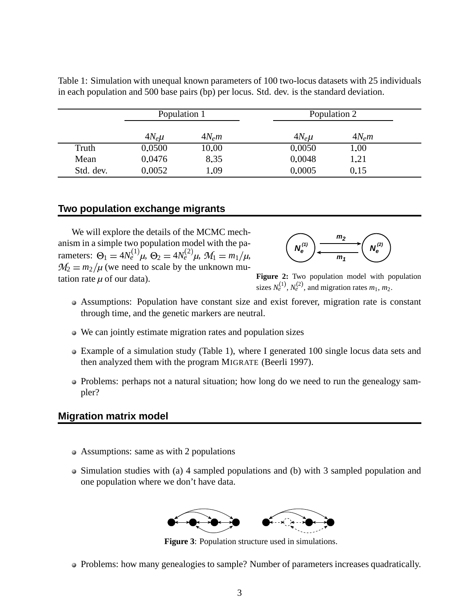|           | Population 1 |          | Population 2 |          |  |
|-----------|--------------|----------|--------------|----------|--|
|           | $4N_e\mu$    | $4N_e m$ | $4N_e\mu$    | $4N_e m$ |  |
| Truth     | 0.0500       | 10.00    | 0.0050       | 1.00     |  |
| Mean      | 0.0476       | 8.35     | 0.0048       | 1.21     |  |
| Std. dev. | 0.0052       | 1.09     | 0.0005       | 0.15     |  |

Table 1: Simulation with unequal known parameters of 100 two-locus datasets with 25 individuals in each population and 500 base pairs (bp) per locus. Std. dev. is the standard deviation.

# **Two population exchange migrants**

We will explore the details of the MCMC mechanism in a simple two population model with the parameters:  $\Theta_1 = 4N_e^{(1)}\mu$ ,  $\Theta_2 = 4N_e^{(2)}\mu$ ,  $M_1 = m_1/\mu$ ,  $M_2 = m_2/\mu$  (we need to scale by the unknown mutation rate  $\mu$  of our data).



**Figure 2:** Two population model with population sizes  $N_e^{(1)}$ ,  $N_e^{(2)}$ , and migration rates  $m_1$ ,  $m_2$ .

- Assumptions: Population have constant size and exist forever, migration rate is constant through time, and the genetic markers are neutral.
- We can jointly estimate migration rates and population sizes
- Example of a simulation study (Table 1), where I generated 100 single locus data sets and then analyzed them with the program MIGRATE (Beerli 1997).
- Problems: perhaps not a natural situation; how long do we need to run the genealogy sampler?

# **Migration matrix model**

- Assumptions: same as with 2 populations
- Simulation studies with (a) 4 sampled populations and (b) with 3 sampled population and one population where we don't have data.



**Figure 3**: Population structure used in simulations.

• Problems: how many genealogies to sample? Number of parameters increases quadratically.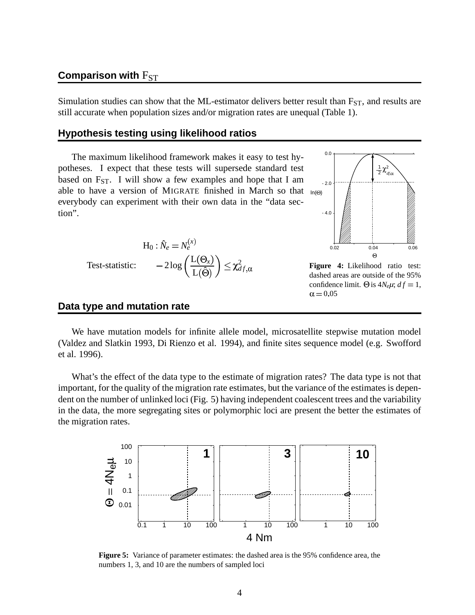## **Comparison** with  $F_{ST}$

Simulation studies can show that the ML-estimator delivers better result than  $F_{ST}$ , and results are still accurate when population sizes and/or migration rates are unequal (Table 1).

#### **Hypothesis testing using likelihood ratios**

The maximum likelihood framework makes it easy to test hypotheses. I expect that these tests will supersede standard test based on  $F_{ST}$ . I will show a few examples and hope that I am able to have a version of MIGRATE finished in March so that  $_{ln(0)}$ everybody can experiment with their own data in the "data section".

$$
H_0: \hat{N}_e = N_e^{(x)}
$$
  
Test-statistic: 
$$
-2\log\left(\frac{L(\Theta_x)}{L(\hat{\Theta})}\right) \leq \chi_{df}^2
$$



**Figure 4:** Likelihood ratio test: dashed areas are outside of the 95% confidence limit.  $\Theta$  is  $4N_e\mu$ ;  $df = 1$ ,  $\alpha = 0.05$ 

#### **Data type and mutation rate**

We have mutation models for infinite allele model, microsatellite stepwise mutation model (Valdez and Slatkin 1993, Di Rienzo et al. 1994), and finite sites sequence model (e.g. Swofford et al. 1996).

What's the effect of the data type to the estimate of migration rates? The data type is not that important, for the quality of the migration rate estimates, but the variance of the estimates is dependent on the number of unlinked loci (Fig. 5) having independent coalescent trees and the variability in the data, the more segregating sites or polymorphic loci are present the better the estimates of the migration rates.



**Figure 5:** Variance of parameter estimates: the dashed area is the 95% confidence area, the numbers 1, 3, and 10 are the numbers of sampled loci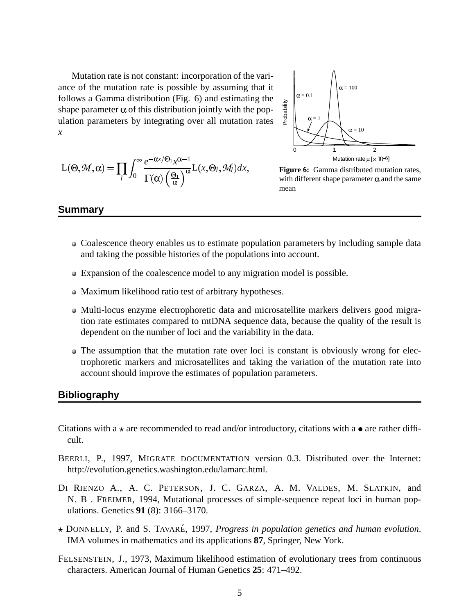Mutation rate is not constant: incorporation of the variance of the mutation rate is possible by assuming that it follows a Gamma distribution (Fig. 6) and estimating the shape parameter  $\alpha$  of this distribution jointly with the population parameters by integrating over all mutation rates *x*

$$
L(\Theta, \mathcal{M}, \alpha) = \prod_{l} \int_0^{\infty} \frac{e^{-\alpha x/\Theta_1} x^{\alpha-1}}{\Gamma(\alpha) \left(\frac{\Theta_1}{\alpha}\right)^{\alpha}} L(x, \Theta_l, \mathcal{M}_l) dx,
$$



**Figure 6:** Gamma distributed mutation rates, with different shape parameter  $\alpha$  and the same mean

#### **Summary**

- Coalescence theory enables us to estimate population parameters by including sample data and taking the possible histories of the populations into account.
- Expansion of the coalescence model to any migration model is possible.
- Maximum likelihood ratio test of arbitrary hypotheses.
- Multi-locus enzyme electrophoretic data and microsatellite markers delivers good migration rate estimates compared to mtDNA sequence data, because the quality of the result is dependent on the number of loci and the variability in the data.
- The assumption that the mutation rate over loci is constant is obviously wrong for electrophoretic markers and microsatellites and taking the variation of the mutation rate into account should improve the estimates of population parameters.

#### **Bibliography**

- Citations with a  $\star$  are recommended to read and/or introductory, citations with a  $\bullet$  are rather difficult.
- BEERLI, P., 1997, MIGRATE DOCUMENTATION version 0.3. Distributed over the Internet: http://evolution.genetics.washington.edu/lamarc.html.
- DI RIENZO A., A. C. PETERSON, J. C. GARZA, A. M. VALDES, M. SLATKIN, and N. B . FREIMER, 1994, Mutational processes of simple-sequence repeat loci in human populations. Genetics **91** (8): 3166–3170.
- DONNELLY, P. and S. TAVARE´, 1997, *Progress in population genetics and human evolution*. IMA volumes in mathematics and its applications **87**, Springer, New York.
- FELSENSTEIN, J., 1973, Maximum likelihood estimation of evolutionary trees from continuous characters. American Journal of Human Genetics **25**: 471–492.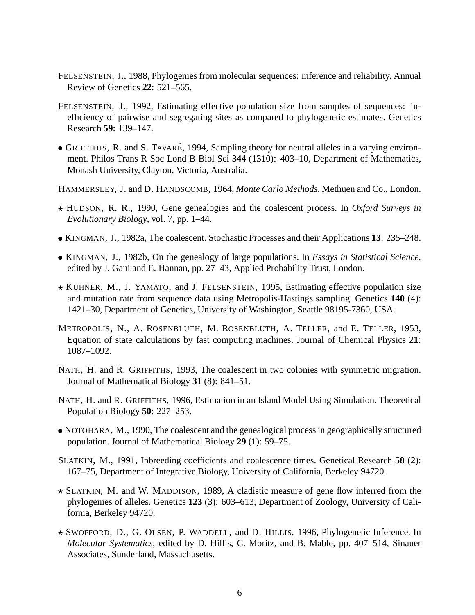- FELSENSTEIN, J., 1988, Phylogenies from molecular sequences: inference and reliability. Annual Review of Genetics **22**: 521–565.
- FELSENSTEIN, J., 1992, Estimating effective population size from samples of sequences: inefficiency of pairwise and segregating sites as compared to phylogenetic estimates. Genetics Research **59**: 139–147.
- GRIFFITHS, R. and S. TAVARÉ, 1994, Sampling theory for neutral alleles in a varying environment. Philos Trans R Soc Lond B Biol Sci **344** (1310): 403–10, Department of Mathematics, Monash University, Clayton, Victoria, Australia.
- HAMMERSLEY, J. and D. HANDSCOMB, 1964, *Monte Carlo Methods*. Methuen and Co., London.
- HUDSON, R. R., 1990, Gene genealogies and the coalescent process. In *Oxford Surveys in Evolutionary Biology*, vol. 7, pp. 1–44.
- KINGMAN, J., 1982a, The coalescent. Stochastic Processes and their Applications **13**: 235–248.
- KINGMAN, J., 1982b, On the genealogy of large populations. In *Essays in Statistical Science*, edited by J. Gani and E. Hannan, pp. 27–43, Applied Probability Trust, London.
- $\star$  KUHNER, M., J. YAMATO, and J. FELSENSTEIN, 1995, Estimating effective population size and mutation rate from sequence data using Metropolis-Hastings sampling. Genetics **140** (4): 1421–30, Department of Genetics, University of Washington, Seattle 98195-7360, USA.
- METROPOLIS, N., A. ROSENBLUTH, M. ROSENBLUTH, A. TELLER, and E. TELLER, 1953, Equation of state calculations by fast computing machines. Journal of Chemical Physics **21**: 1087–1092.
- NATH, H. and R. GRIFFITHS, 1993, The coalescent in two colonies with symmetric migration. Journal of Mathematical Biology **31** (8): 841–51.
- NATH, H. and R. GRIFFITHS, 1996, Estimation in an Island Model Using Simulation. Theoretical Population Biology **50**: 227–253.
- NOTOHARA, M., 1990, The coalescent and the genealogical process in geographically structured population. Journal of Mathematical Biology **29** (1): 59–75.
- SLATKIN, M., 1991, Inbreeding coefficients and coalescence times. Genetical Research **58** (2): 167–75, Department of Integrative Biology, University of California, Berkeley 94720.
- $\star$  SLATKIN, M. and W. MADDISON, 1989, A cladistic measure of gene flow inferred from the phylogenies of alleles. Genetics **123** (3): 603–613, Department of Zoology, University of California, Berkeley 94720.
- SWOFFORD, D., G. OLSEN, P. WADDELL, and D. HILLIS, 1996, Phylogenetic Inference. In *Molecular Systematics*, edited by D. Hillis, C. Moritz, and B. Mable, pp. 407–514, Sinauer Associates, Sunderland, Massachusetts.